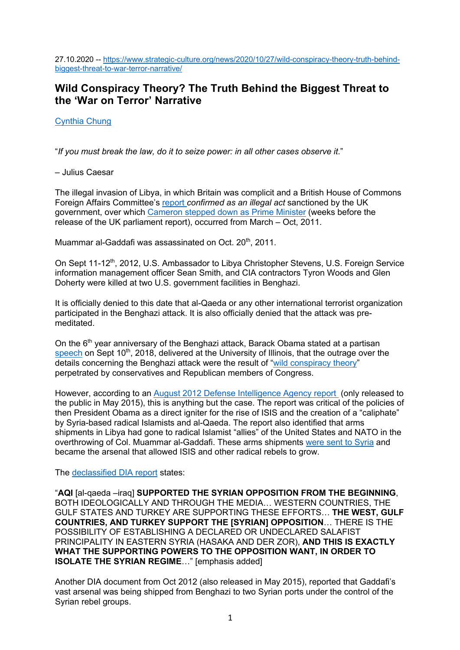27.10.2020 -- https://www.strategic-culture.org/news/2020/10/27/wild-conspiracy-theory-truth-behindbiggest-threat-to-war-terror-narrative/

# **Wild Conspiracy Theory? The Truth Behind the Biggest Threat to the 'War on Terror' Narrative**

Cynthia Chung

"*If you must break the law, do it to seize power: in all other cases observe it*."

– Julius Caesar

The illegal invasion of Libya, in which Britain was complicit and a British House of Commons Foreign Affairs Committee's report *confirmed as an illegal act* sanctioned by the UK government, over which Cameron stepped down as Prime Minister (weeks before the release of the UK parliament report), occurred from March – Oct, 2011.

Muammar al-Gaddafi was assassinated on Oct. 20<sup>th</sup>, 2011.

On Sept 11-12<sup>th</sup>, 2012, U.S. Ambassador to Libya Christopher Stevens, U.S. Foreign Service information management officer Sean Smith, and CIA contractors Tyron Woods and Glen Doherty were killed at two U.S. government facilities in Benghazi.

It is officially denied to this date that al-Qaeda or any other international terrorist organization participated in the Benghazi attack. It is also officially denied that the attack was premeditated.

On the  $6<sup>th</sup>$  year anniversary of the Benghazi attack, Barack Obama stated at a partisan speech on Sept 10<sup>th</sup>, 2018, delivered at the University of Illinois, that the outrage over the details concerning the Benghazi attack were the result of "wild conspiracy theory" perpetrated by conservatives and Republican members of Congress.

However, according to an August 2012 Defense Intelligence Agency report (only released to the public in May 2015), this is anything but the case. The report was critical of the policies of then President Obama as a direct igniter for the rise of ISIS and the creation of a "caliphate" by Syria-based radical Islamists and al-Qaeda. The report also identified that arms shipments in Libya had gone to radical Islamist "allies" of the United States and NATO in the overthrowing of Col. Muammar al-Gaddafi. These arms shipments were sent to Syria and became the arsenal that allowed ISIS and other radical rebels to grow.

The declassified DIA report states:

"**AQI** [al-qaeda –iraq] **SUPPORTED THE SYRIAN OPPOSITION FROM THE BEGINNING**, BOTH IDEOLOGICALLY AND THROUGH THE MEDIA… WESTERN COUNTRIES, THE GULF STATES AND TURKEY ARE SUPPORTING THESE EFFORTS… **THE WEST, GULF COUNTRIES, AND TURKEY SUPPORT THE [SYRIAN] OPPOSITION**… THERE IS THE POSSIBILITY OF ESTABLISHING A DECLARED OR UNDECLARED SALAFIST PRINCIPALITY IN EASTERN SYRIA (HASAKA AND DER ZOR), **AND THIS IS EXACTLY WHAT THE SUPPORTING POWERS TO THE OPPOSITION WANT, IN ORDER TO ISOLATE THE SYRIAN REGIME**…" [emphasis added]

Another DIA document from Oct 2012 (also released in May 2015), reported that Gaddafi's vast arsenal was being shipped from Benghazi to two Syrian ports under the control of the Syrian rebel groups.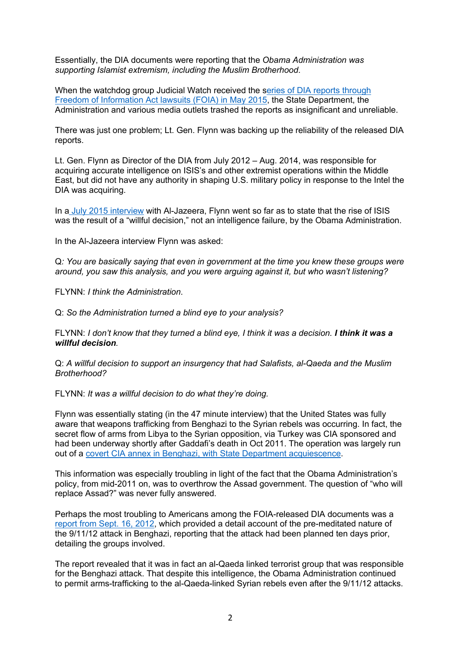Essentially, the DIA documents were reporting that the *Obama Administration was supporting Islamist extremism, including the Muslim Brotherhood*.

When the watchdog group Judicial Watch received the series of DIA reports through Freedom of Information Act lawsuits (FOIA) in May 2015, the State Department, the Administration and various media outlets trashed the reports as insignificant and unreliable.

There was just one problem; Lt. Gen. Flynn was backing up the reliability of the released DIA reports.

Lt. Gen. Flynn as Director of the DIA from July 2012 – Aug. 2014, was responsible for acquiring accurate intelligence on ISIS's and other extremist operations within the Middle East, but did not have any authority in shaping U.S. military policy in response to the Intel the DIA was acquiring.

In a July 2015 interview with Al-Jazeera, Flynn went so far as to state that the rise of ISIS was the result of a "willful decision," not an intelligence failure, by the Obama Administration.

In the Al-Jazeera interview Flynn was asked:

Q*: You are basically saying that even in government at the time you knew these groups were around, you saw this analysis, and you were arguing against it, but who wasn't listening?*

FLYNN: *I think the Administration*.

Q: *So the Administration turned a blind eye to your analysis?*

FLYNN: *I don't know that they turned a blind eye, I think it was a decision. I think it was a willful decision.*

Q: *A willful decision to support an insurgency that had Salafists, al-Qaeda and the Muslim Brotherhood?*

FLYNN: *It was a willful decision to do what they're doing.*

Flynn was essentially stating (in the 47 minute interview) that the United States was fully aware that weapons trafficking from Benghazi to the Syrian rebels was occurring. In fact, the secret flow of arms from Libya to the Syrian opposition, via Turkey was CIA sponsored and had been underway shortly after Gaddafi's death in Oct 2011. The operation was largely run out of a covert CIA annex in Benghazi, with State Department acquiescence.

This information was especially troubling in light of the fact that the Obama Administration's policy, from mid-2011 on, was to overthrow the Assad government. The question of "who will replace Assad?" was never fully answered.

Perhaps the most troubling to Americans among the FOIA-released DIA documents was a report from Sept. 16, 2012, which provided a detail account of the pre-meditated nature of the 9/11/12 attack in Benghazi, reporting that the attack had been planned ten days prior, detailing the groups involved.

The report revealed that it was in fact an al-Qaeda linked terrorist group that was responsible for the Benghazi attack. That despite this intelligence, the Obama Administration continued to permit arms-trafficking to the al-Qaeda-linked Syrian rebels even after the 9/11/12 attacks.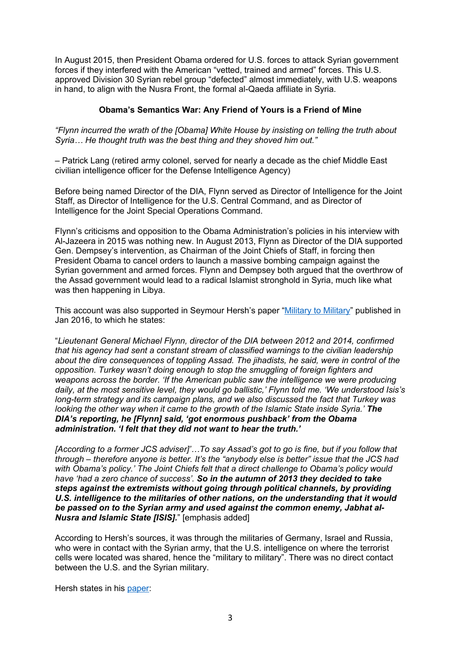In August 2015, then President Obama ordered for U.S. forces to attack Syrian government forces if they interfered with the American "vetted, trained and armed" forces. This U.S. approved Division 30 Syrian rebel group "defected" almost immediately, with U.S. weapons in hand, to align with the Nusra Front, the formal al-Qaeda affiliate in Syria.

# **Obama's Semantics War: Any Friend of Yours is a Friend of Mine**

*"Flynn incurred the wrath of the [Obama] White House by insisting on telling the truth about Syria… He thought truth was the best thing and they shoved him out."*

– Patrick Lang (retired army colonel, served for nearly a decade as the chief Middle East civilian intelligence officer for the Defense Intelligence Agency)

Before being named Director of the DIA, Flynn served as Director of Intelligence for the Joint Staff, as Director of Intelligence for the U.S. Central Command, and as Director of Intelligence for the Joint Special Operations Command.

Flynn's criticisms and opposition to the Obama Administration's policies in his interview with Al-Jazeera in 2015 was nothing new. In August 2013, Flynn as Director of the DIA supported Gen. Dempsey's intervention, as Chairman of the Joint Chiefs of Staff, in forcing then President Obama to cancel orders to launch a massive bombing campaign against the Syrian government and armed forces. Flynn and Dempsey both argued that the overthrow of the Assad government would lead to a radical Islamist stronghold in Syria, much like what was then happening in Libya.

This account was also supported in Seymour Hersh's paper "Military to Military" published in Jan 2016, to which he states:

"*Lieutenant General Michael Flynn, director of the DIA between 2012 and 2014, confirmed that his agency had sent a constant stream of classified warnings to the civilian leadership about the dire consequences of toppling Assad. The jihadists, he said, were in control of the opposition. Turkey wasn't doing enough to stop the smuggling of foreign fighters and weapons across the border. 'If the American public saw the intelligence we were producing daily, at the most sensitive level, they would go ballistic,' Flynn told me. 'We understood Isis's long-term strategy and its campaign plans, and we also discussed the fact that Turkey was looking the other way when it came to the growth of the Islamic State inside Syria.'* **The** *DIA's reporting, he [Flynn] said, 'got enormous pushback' from the Obama administration. 'I felt that they did not want to hear the truth.'* 

*[According to a former JCS adviser]'…To say Assad's got to go is fine, but if you follow that through – therefore anyone is better. It's the "anybody else is better" issue that the JCS had with Obama's policy.' The Joint Chiefs felt that a direct challenge to Obama's policy would have 'had a zero chance of success'. So in the autumn of 2013 they decided to take steps against the extremists without going through political channels, by providing U.S. intelligence to the militaries of other nations, on the understanding that it would be passed on to the Syrian army and used against the common enemy, Jabhat al-Nusra and Islamic State [ISIS].*" [emphasis added]

According to Hersh's sources, it was through the militaries of Germany, Israel and Russia, who were in contact with the Syrian army, that the U.S. intelligence on where the terrorist cells were located was shared, hence the "military to military". There was no direct contact between the U.S. and the Syrian military.

Hersh states in his paper: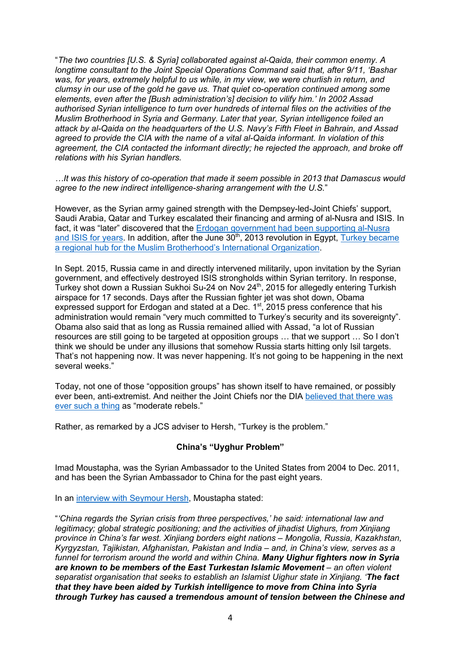"*The two countries [U.S. & Syria] collaborated against al-Qaida, their common enemy. A longtime consultant to the Joint Special Operations Command said that, after 9/11, 'Bashar was, for years, extremely helpful to us while, in my view, we were churlish in return, and clumsy in our use of the gold he gave us. That quiet co-operation continued among some elements, even after the [Bush administration's] decision to vilify him.' In 2002 Assad authorised Syrian intelligence to turn over hundreds of internal files on the activities of the Muslim Brotherhood in Syria and Germany. Later that year, Syrian intelligence foiled an attack by al-Qaida on the headquarters of the U.S. Navy's Fifth Fleet in Bahrain, and Assad agreed to provide the CIA with the name of a vital al-Qaida informant. In violation of this agreement, the CIA contacted the informant directly; he rejected the approach, and broke off relations with his Syrian handlers.*

*…It was this history of co-operation that made it seem possible in 2013 that Damascus would agree to the new indirect intelligence-sharing arrangement with the U.S.*"

However, as the Syrian army gained strength with the Dempsey-led-Joint Chiefs' support, Saudi Arabia, Qatar and Turkey escalated their financing and arming of al-Nusra and ISIS. In fact, it was "later" discovered that the Erdogan government had been supporting al-Nusra and ISIS for years. In addition, after the June  $30<sup>th</sup>$ , 2013 revolution in Egypt, Turkey became a regional hub for the Muslim Brotherhood's International Organization.

In Sept. 2015, Russia came in and directly intervened militarily, upon invitation by the Syrian government, and effectively destroyed ISIS strongholds within Syrian territory. In response, Turkey shot down a Russian Sukhoi Su-24 on Nov 24<sup>th</sup>, 2015 for allegedly entering Turkish airspace for 17 seconds. Days after the Russian fighter jet was shot down, Obama expressed support for Erdogan and stated at a Dec. 1<sup>st</sup>, 2015 press conference that his administration would remain "very much committed to Turkey's security and its sovereignty". Obama also said that as long as Russia remained allied with Assad, "a lot of Russian resources are still going to be targeted at opposition groups … that we support … So I don't think we should be under any illusions that somehow Russia starts hitting only Isil targets. That's not happening now. It was never happening. It's not going to be happening in the next several weeks."

Today, not one of those "opposition groups" has shown itself to have remained, or possibly ever been, anti-extremist. And neither the Joint Chiefs nor the DIA believed that there was ever such a thing as "moderate rebels."

Rather, as remarked by a JCS adviser to Hersh, "Turkey is the problem."

### **China's "Uyghur Problem"**

Imad Moustapha, was the Syrian Ambassador to the United States from 2004 to Dec. 2011, and has been the Syrian Ambassador to China for the past eight years.

In an interview with Seymour Hersh, Moustapha stated:

"*'China regards the Syrian crisis from three perspectives,' he said: international law and legitimacy; global strategic positioning; and the activities of jihadist Uighurs, from Xinjiang province in China's far west. Xinjiang borders eight nations – Mongolia, Russia, Kazakhstan, Kyrgyzstan, Tajikistan, Afghanistan, Pakistan and India – and, in China's view, serves as a funnel for terrorism around the world and within China. Many Uighur fighters now in Syria*  **are known to be members of the East Turkestan Islamic Movement** – an often violent *separatist organisation that seeks to establish an Islamist Uighur state in Xinjiang. 'The fact that they have been aided by Turkish intelligence to move from China into Syria through Turkey has caused a tremendous amount of tension between the Chinese and*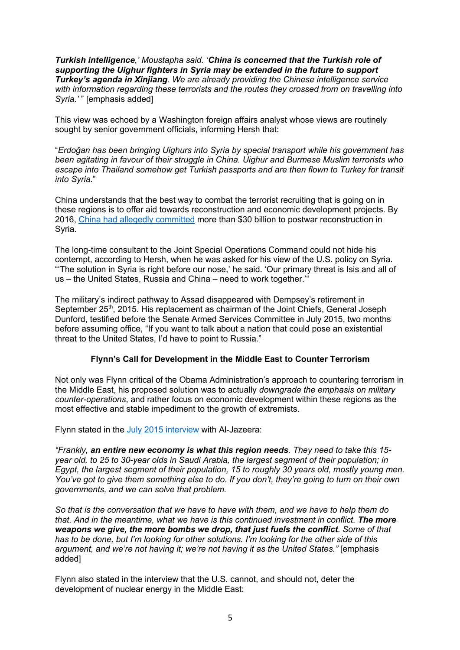*Turkish intelligence,' Moustapha said. 'China is concerned that the Turkish role of supporting the Uighur fighters in Syria may be extended in the future to support Turkey's agenda in Xinjiang. We are already providing the Chinese intelligence service with information regarding these terrorists and the routes they crossed from on travelling into Syria.'* " [emphasis added]

This view was echoed by a Washington foreign affairs analyst whose views are routinely sought by senior government officials, informing Hersh that:

"*Erdoğan has been bringing Uighurs into Syria by special transport while his government has been agitating in favour of their struggle in China. Uighur and Burmese Muslim terrorists who escape into Thailand somehow get Turkish passports and are then flown to Turkey for transit into Syria.*"

China understands that the best way to combat the terrorist recruiting that is going on in these regions is to offer aid towards reconstruction and economic development projects. By 2016, China had allegedly committed more than \$30 billion to postwar reconstruction in Syria.

The long-time consultant to the Joint Special Operations Command could not hide his contempt, according to Hersh, when he was asked for his view of the U.S. policy on Syria. "'The solution in Syria is right before our nose,' he said. 'Our primary threat is Isis and all of us – the United States, Russia and China – need to work together.'"

The military's indirect pathway to Assad disappeared with Dempsey's retirement in September 25<sup>th</sup>, 2015. His replacement as chairman of the Joint Chiefs, General Joseph Dunford, testified before the Senate Armed Services Committee in July 2015, two months before assuming office, "If you want to talk about a nation that could pose an existential threat to the United States, I'd have to point to Russia."

# **Flynn's Call for Development in the Middle East to Counter Terrorism**

Not only was Flynn critical of the Obama Administration's approach to countering terrorism in the Middle East, his proposed solution was to actually *downgrade the emphasis on military counter-operations*, and rather focus on economic development within these regions as the most effective and stable impediment to the growth of extremists.

Flynn stated in the July 2015 interview with Al-Jazeera:

*"Frankly, an entire new economy is what this region needs. They need to take this 15 year old, to 25 to 30-year olds in Saudi Arabia, the largest segment of their population; in Egypt, the largest segment of their population, 15 to roughly 30 years old, mostly young men. You've got to give them something else to do. If you don't, they're going to turn on their own governments, and we can solve that problem.*

*So that is the conversation that we have to have with them, and we have to help them do that. And in the meantime, what we have is this continued investment in conflict. The more weapons we give, the more bombs we drop, that just fuels the conflict. Some of that has to be done, but I'm looking for other solutions. I'm looking for the other side of this argument, and we're not having it; we're not having it as the United States."* [emphasis added]

Flynn also stated in the interview that the U.S. cannot, and should not, deter the development of nuclear energy in the Middle East: